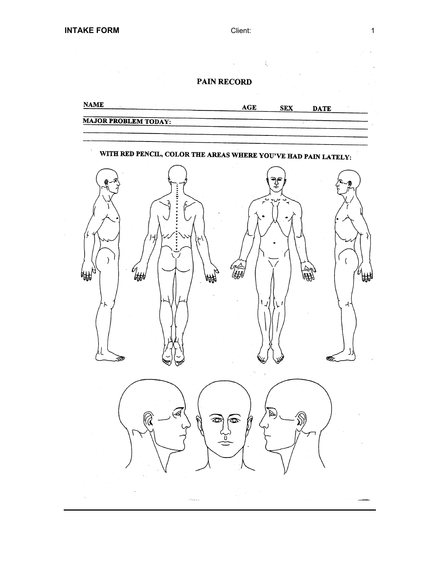$\mathbf{q} = \mathbf{q} \times \mathbf{q}$  .

 $\zeta$ 

# PAIN RECORD

**NAME** AGE **SEX DATE MAJOR PROBLEM TODAY:** WITH RED PENCIL, COLOR THE AREAS WHERE YOU'VE HAD PAIN LATELY: ್ಕ್ರೌ š  $\lambda$  $\left($  $\mathscr{C}_{\text{H}}$ ЮЖ 帲 ัมม 刚 ίL ارل A A - Viladesia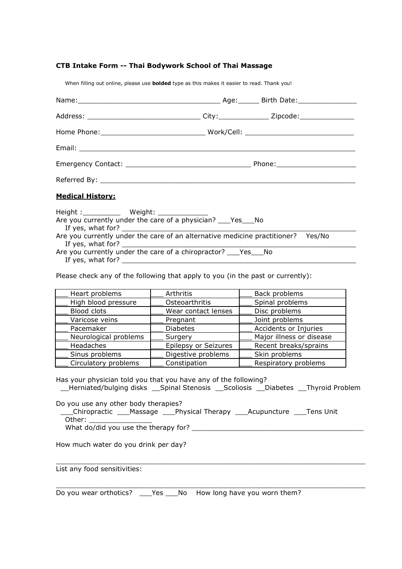# **CTB Intake Form -- Thai Bodywork School of Thai Massage**

When filling out online, please use **bolded** type as this makes it easier to read. Thank you!

| Address: ________________________________City:________________Zipcode:_________________                                                                                                                       |  |
|---------------------------------------------------------------------------------------------------------------------------------------------------------------------------------------------------------------|--|
|                                                                                                                                                                                                               |  |
|                                                                                                                                                                                                               |  |
|                                                                                                                                                                                                               |  |
|                                                                                                                                                                                                               |  |
| <b>Medical History:</b>                                                                                                                                                                                       |  |
| Height: Weight: Weight:<br>Are you currently under the care of a physician? ___ Yes ___ No<br>Are you currently under the care of an alternative medicine practitioner? Yes/No<br>If yes, what for? _________ |  |
| Are you currently under the care of a chiropractor? ____ Yes____ No                                                                                                                                           |  |

If yes, what for? \_\_\_\_\_\_\_\_\_\_\_\_\_\_\_\_\_\_\_\_\_\_\_\_\_\_\_\_\_\_\_\_\_\_\_\_\_\_\_\_\_\_\_\_\_\_\_\_\_\_\_\_\_\_\_\_

Please check any of the following that apply to you (in the past or currently):

| Heart problems        | Arthritis            | Back problems            |  |
|-----------------------|----------------------|--------------------------|--|
| High blood pressure   | Osteoarthritis       | Spinal problems          |  |
| <b>Blood clots</b>    | Wear contact lenses  | Disc problems            |  |
| Varicose veins        | Pregnant             | Joint problems           |  |
| Pacemaker             | <b>Diabetes</b>      | Accidents or Injuries    |  |
| Neurological problems | Surgery              | Major illness or disease |  |
| Headaches             | Epilepsy or Seizures | Recent breaks/sprains    |  |
| Sinus problems        | Digestive problems   | Skin problems            |  |
| Circulatory problems  | Constipation         | Respiratory problems     |  |

Has your physician told you that you have any of the following?

\_\_Herniated/bulging disks \_\_Spinal Stenosis \_\_Scoliosis \_\_Diabetes \_\_Thyroid Problem

 $\bot$  , and the contribution of the contribution of the contribution of the contribution of  $\bot$ 

 $\_$  ,  $\_$  ,  $\_$  ,  $\_$  ,  $\_$  ,  $\_$  ,  $\_$  ,  $\_$  ,  $\_$  ,  $\_$  ,  $\_$  ,  $\_$  ,  $\_$  ,  $\_$  ,  $\_$  ,  $\_$  ,  $\_$  ,  $\_$  ,  $\_$  ,  $\_$ 

Do you use any other body therapies?

 \_\_\_Chiropractic \_\_\_Massage \_\_\_Physical Therapy \_\_\_Acupuncture \_\_\_Tens Unit Other: \_\_\_\_\_\_\_\_\_\_\_\_\_\_\_

What do/did you use the therapy for? \_\_\_\_\_\_\_\_\_\_\_\_\_\_\_\_\_\_\_\_\_\_\_\_\_\_\_\_\_\_\_\_\_\_\_\_\_\_\_\_\_

How much water do you drink per day?

List any food sensitivities:

Do you wear orthotics? \_\_\_Yes \_\_\_No How long have you worn them?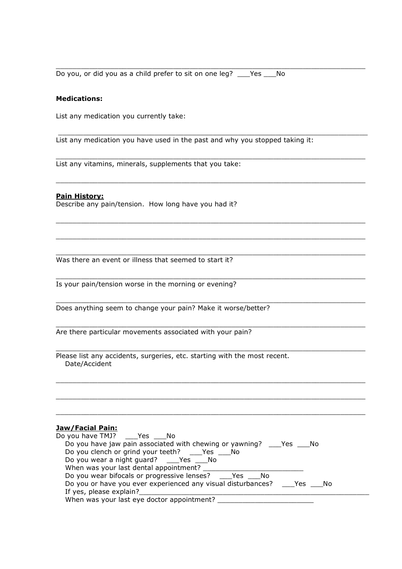Do you, or did you as a child prefer to sit on one leg? \_\_\_Yes \_\_\_No

### **Medications:**

List any medication you currently take:

List any medication you have used in the past and why you stopped taking it:

 $\bot$  , and the contribution of the contribution of the contribution of the contribution of  $\bot$ 

\_\_\_\_\_\_\_\_\_\_\_\_\_\_\_\_\_\_\_\_\_\_\_\_\_\_\_\_\_\_\_\_\_\_\_\_\_\_\_\_\_\_\_\_\_\_\_\_\_\_\_\_\_\_\_\_\_\_\_\_\_\_\_\_\_\_\_\_\_\_\_\_\_\_

 $\_$  ,  $\_$  ,  $\_$  ,  $\_$  ,  $\_$  ,  $\_$  ,  $\_$  ,  $\_$  ,  $\_$  ,  $\_$  ,  $\_$  ,  $\_$  ,  $\_$  ,  $\_$  ,  $\_$  ,  $\_$  ,  $\_$  ,  $\_$  ,  $\_$  ,  $\_$ 

 $\bot$  , and the contribution of the contribution of the contribution of the contribution of  $\bot$ 

 $\bot$  , and the contribution of the contribution of the contribution of the contribution of  $\bot$ 

 $\bot$  , and the contribution of the contribution of the contribution of the contribution of  $\bot$ 

 $\bot$  , and the contribution of the contribution of the contribution of the contribution of  $\bot$ 

 $\bot$  , and the contribution of the contribution of the contribution of the contribution of  $\bot$ 

 $\bot$  , and the contribution of the contribution of the contribution of the contribution of  $\bot$ 

 $\bot$  , and the contribution of the contribution of the contribution of the contribution of  $\bot$ 

 $\bot$  , and the set of the set of the set of the set of the set of the set of the set of the set of the set of the set of the set of the set of the set of the set of the set of the set of the set of the set of the set of t

 $\bot$  , and the contribution of the contribution of the contribution of the contribution of  $\bot$ 

 $\bot$  , and the contribution of the contribution of the contribution of the contribution of  $\bot$ 

 $\bot$  , and the contribution of the contribution of the contribution of the contribution of  $\bot$ 

List any vitamins, minerals, supplements that you take:

### **Pain History:**

Describe any pain/tension. How long have you had it?

Was there an event or illness that seemed to start it?

Is your pain/tension worse in the morning or evening?

Does anything seem to change your pain? Make it worse/better?

Are there particular movements associated with your pain?

Please list any accidents, surgeries, etc. starting with the most recent. Date/Accident

# **Jaw/Facial Pain:**

| Do you have TMJ? ____Yes ____No                                                   |  |
|-----------------------------------------------------------------------------------|--|
| Do you have jaw pain associated with chewing or yawning? ________________________ |  |
| Do you clench or grind your teeth? _____Yes _____No                               |  |
| Do you wear a night guard? ______Yes ______No                                     |  |
| When was your last dental appointment?                                            |  |
| Do you wear bifocals or progressive lenses? Yes No                                |  |
| Do you or have you ever experienced any visual disturbances? _____Yes _____No     |  |
| If yes, please explain?                                                           |  |
| When was your last eye doctor appointment?                                        |  |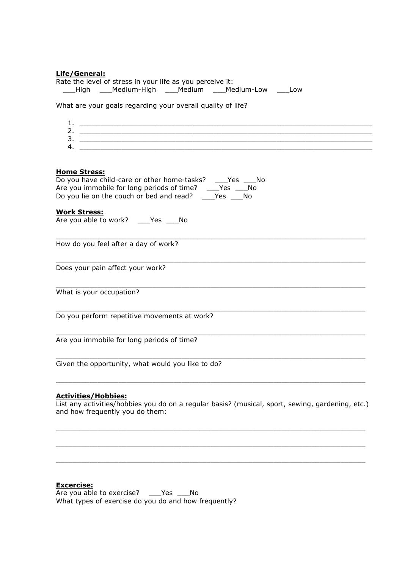### **Life/General:**

| ---------<br>Rate the level of stress in your life as you perceive it:<br>___High ___Medium-High ___Medium ___Medium-Low ___Low |
|---------------------------------------------------------------------------------------------------------------------------------|
| What are your goals regarding your overall quality of life?                                                                     |
|                                                                                                                                 |
|                                                                                                                                 |
|                                                                                                                                 |
| <b>Home Stress:</b>                                                                                                             |
| Do you have child-care or other home-tasks? ___Yes ___No<br>Are you immobile for long periods of time? ___Yes ___No             |
| Do you lie on the couch or bed and read? $\overline{\phantom{0}}\phantom{0}$ Yes $\overline{\phantom{0}}$ No                    |
| <b>Work Stress:</b><br>Are you able to work? ____Yes ____No                                                                     |
| How do you feel after a day of work?                                                                                            |
| Does your pain affect your work?                                                                                                |
| What is your occupation?                                                                                                        |
| Do you perform repetitive movements at work?                                                                                    |
| Are you immobile for long periods of time?                                                                                      |
| Given the opportunity, what would you like to do?                                                                               |
|                                                                                                                                 |

#### **Activities/Hobbies:**

List any activities/hobbies you do on a regular basis? (musical, sport, sewing, gardening, etc.) and how frequently you do them:

 $\_$  ,  $\_$  ,  $\_$  ,  $\_$  ,  $\_$  ,  $\_$  ,  $\_$  ,  $\_$  ,  $\_$  ,  $\_$  ,  $\_$  ,  $\_$  ,  $\_$  ,  $\_$  ,  $\_$  ,  $\_$  ,  $\_$  ,  $\_$  ,  $\_$  ,  $\_$ 

 $\_$  ,  $\_$  ,  $\_$  ,  $\_$  ,  $\_$  ,  $\_$  ,  $\_$  ,  $\_$  ,  $\_$  ,  $\_$  ,  $\_$  ,  $\_$  ,  $\_$  ,  $\_$  ,  $\_$  ,  $\_$  ,  $\_$  ,  $\_$  ,  $\_$  ,  $\_$ 

 $\bot$  , and the contribution of the contribution of the contribution of the contribution of  $\bot$ 

# **Excercise:**

Are you able to exercise? \_\_\_\_Yes \_\_\_\_No What types of exercise do you do and how frequently?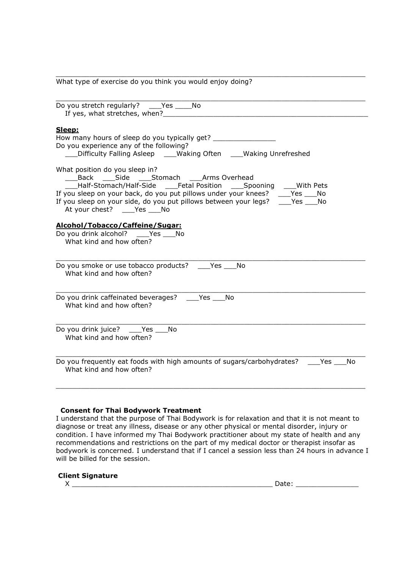$\bot$  , and the set of the set of the set of the set of the set of the set of the set of the set of the set of the set of the set of the set of the set of the set of the set of the set of the set of the set of the set of t What type of exercise do you think you would enjoy doing?

| Do you stretch regularly? _____ Yes ______ No<br>If yes, what stretches, when? The manufacturer of the stretches of the stretches of the stretches of the stretches of the stretches of the stretches of the stretches of the stretches of the stretches of the stretches of th                                                                  |
|--------------------------------------------------------------------------------------------------------------------------------------------------------------------------------------------------------------------------------------------------------------------------------------------------------------------------------------------------|
| Sleep:<br>How many hours of sleep do you typically get?<br>Do you experience any of the following?<br>___Difficulty Falling Asleep ____Waking Often ____Waking Unrefreshed                                                                                                                                                                       |
| What position do you sleep in?<br>___Back ___Side ___Stomach ___Arms Overhead<br>Half-Stomach/Half-Side Fetal Position Spooning With Pets<br>If you sleep on your back, do you put pillows under your knees? _____ Yes ____ No<br>If you sleep on your side, do you put pillows between your legs? ____Yes ____No<br>At your chest? ___Yes __ No |
| Alcohol/Tobacco/Caffeine/Sugar:<br>Do you drink alcohol? Yes No<br>What kind and how often?                                                                                                                                                                                                                                                      |
| Do you smoke or use tobacco products? _____ Yes ____ No<br>What kind and how often?                                                                                                                                                                                                                                                              |
| Do you drink caffeinated beverages? ____Yes ____No<br>What kind and how often?                                                                                                                                                                                                                                                                   |
| Do you drink juice? ___Yes ___No<br>What kind and how often?                                                                                                                                                                                                                                                                                     |
| Do you frequently eat foods with high amounts of sugars/carbohydrates? ____Yes ___No<br>What kind and how often?                                                                                                                                                                                                                                 |
|                                                                                                                                                                                                                                                                                                                                                  |

# **Consent for Thai Bodywork Treatment**

I understand that the purpose of Thai Bodywork is for relaxation and that it is not meant to diagnose or treat any illness, disease or any other physical or mental disorder, injury or condition. I have informed my Thai Bodywork practitioner about my state of health and any recommendations and restrictions on the part of my medical doctor or therapist insofar as bodywork is concerned. I understand that if I cancel a session less than 24 hours in advance I will be billed for the session.

#### **Client Signature**

| - - - |  |
|-------|--|
|       |  |